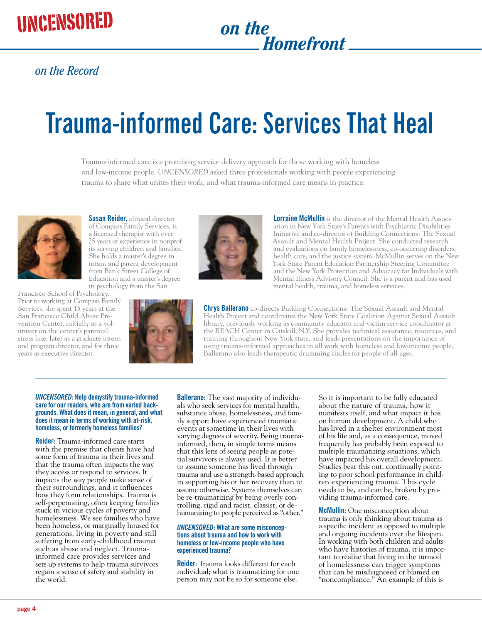# *Homefront*

### *on the Record*

## **Trauma-informed Care: Services That Heal**

Trauma-informed care is a promising service delivery approach for those working with homeless and low-income people. *UNCENSORED* asked three professionals working with people experiencing trauma to share what unites their work, and what trauma-informed care means in practice.



Prior to working at Compass Family Services, she spent 15 years at the San Francisco Child Abuse Prevention Center, initially as a volunteer on the center's parental stress line, later as a graduate intern and program director, and for three years as executive director.

**Susan Reider,** clinical director of Compass Family Services, is a licensed therapist with over 25 years of experience in nonprofits serving children and families. She holds a master's degree in infant and parent development from Bank Street College of Education and a master's degree in psychology from the San Francisco School of Psychology.





**Lorraine McMullin** is the director of the Mental Health Association in New York State's Parents with Psychiatric Disabilities Initiative and co-director of Building Connections: The Sexual Assault and Mental Health Project. She conducted research and evaluations on family homelessness, co-occurring disorders, health care, and the justice system. McMullin serves on the New York State Parent Education Partnership Steering Committee and the New York Protection and Advocacy for Individuals with Mental Illness Advisory Council. She is a parent and has used mental health, trauma, and homeless services.

**Chrys Ballerano** co-directs Building Connections: The Sexual Assault and Mental Health Project and coordinates the New York State Coalition Against Sexual Assault library, previously working as community educator and victim service coordinator at the REACH Center in Catskill, N.Y. She provides technical assistance, resources, and training throughout New York state, and leads presentations on the importance of using trauma-informed approaches in all work with homeless and low-income people. Ballerano also leads therapeutic drumming circles for people of all ages.

#### *UNCENSORED***: Help demystify trauma-informed care for our readers, who are from varied backgrounds. What does it mean, in general, and what does it mean in terms of working with at-risk, homeless, or formerly homeless families?**

**Reider:** Trauma-informed care starts with the premise that clients have had some form of trauma in their lives and that the trauma often impacts the way they access or respond to services. It impacts the way people make sense of their surroundings, and it influences how they form relationships. Trauma is self-perpetuating, often keeping families stuck in vicious cycles of poverty and homelessness. We see families who have been homeless, or marginally housed for generations, living in poverty and still suffering from early-childhood trauma such as abuse and neglect. Traumainformed care provides services and sets up systems to help trauma survivors regain a sense of safety and stability in the world.

**Ballerano:** The vast majority of individuals who seek services for mental health, substance abuse, homelessness, and family support have experienced traumatic events at sometime in their lives with varying degrees of severity. Being traumainformed, then, in simple terms means that this lens of seeing people as potetial survivors is always used. It is better to assume someone has lived through trauma and use a strength-based approach in supporting his or her recovery than to assume otherwise. Systems themselves can be re-traumatizing by being overly controlling, rigid and racist, classist, or dehumanizing to people perceived as "other."

#### *UNCENSORED***: What are some misconceptions about trauma and how to work with homeless or low-income people who have experienced trauma?**

**Reider:** Trauma looks different for each individual; what is traumatizing for one person may not be so for someone else.

So it is important to be fully educated about the nature of trauma, how it manifests itself, and what impact it has on human development. A child who has lived in a shelter environment most of his life and, as a consequence, moved frequently has probably been exposed to multiple traumatizing situations, which have impacted his overall development. Studies bear this out, continually pointing to poor school performance in children experiencing trauma. This cycle needs to be, and can be, broken by providing trauma-informed care.

**McMullin:** One misconception about trauma is only thinking about trauma as a specific incident as opposed to multiple and ongoing incidents over the lifespan. In working with both children and adults who have histories of trauma, it is important to realize that living in the turmoil of homelessness can trigger symptoms that can be misdiagnosed or blamed on "noncompliance." An example of this is